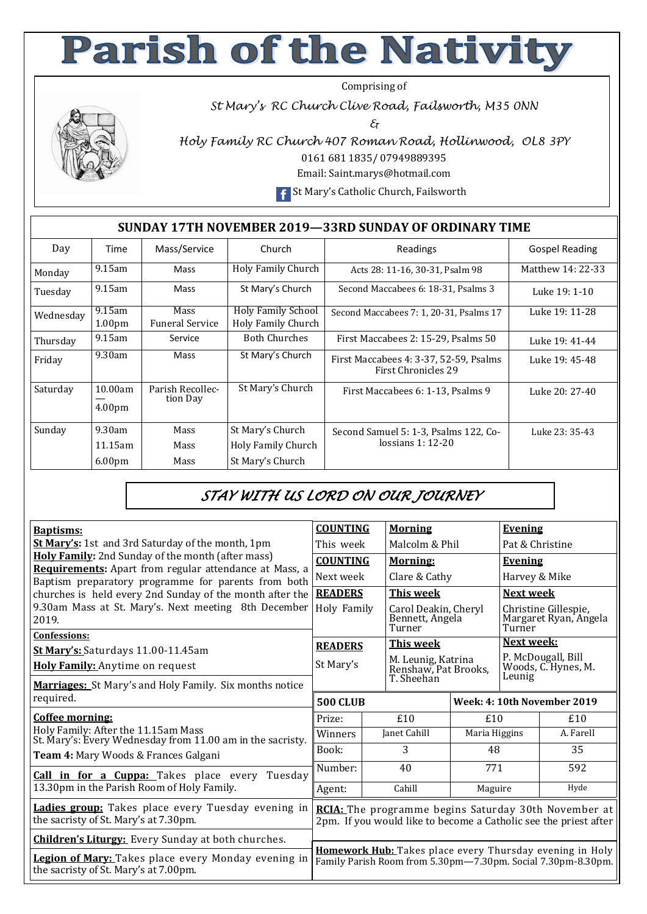## **Parish of the Nativity**

Comprising of



*St Mary's RC Church Clive Road, Failsworth, M35 0NN* 

*&* 

*Holy Family RC Church 407 Roman Road, Hollinwood, OL8 3PY* 

0161 681 1835/ 07949889395

Email: Saint.marys@hotmail.com

**F** St Mary's Catholic Church, Failsworth

## **SUNDAY 17TH NOVEMBER 2019—33RD SUNDAY OF ORDINARY TIME**

| Day       | Mass/Service<br>Time                       |                                       | Church                                                            | Readings                                                             | <b>Gospel Reading</b> |
|-----------|--------------------------------------------|---------------------------------------|-------------------------------------------------------------------|----------------------------------------------------------------------|-----------------------|
| Monday    | $9.15$ am                                  | Mass                                  | Holy Family Church                                                | Acts 28: 11-16, 30-31, Psalm 98                                      | Matthew 14: 22-33     |
| Tuesday   | $9.15$ am                                  | Mass                                  | St Mary's Church                                                  | Second Maccabees 6: 18-31, Psalms 3                                  | Luke 19: 1-10         |
| Wednesday | $9.15$ am<br>1.00 <sub>pm</sub>            | <b>Mass</b><br><b>Funeral Service</b> | <b>Holy Family School</b><br>Holy Family Church                   | Second Maccabees 7: 1, 20-31, Psalms 17                              | Luke 19: 11-28        |
| Thursday  | $9.15$ am                                  | Service                               | <b>Both Churches</b>                                              | First Maccabees 2: 15-29, Psalms 50                                  | Luke 19: 41-44        |
| Friday    | 9.30am                                     | Mass                                  | St Mary's Church                                                  | First Maccabees 4: 3-37, 52-59, Psalms<br><b>First Chronicles 29</b> | Luke 19: 45-48        |
| Saturday  | 10.00am<br>4.00 <sub>pm</sub>              | Parish Recollec-<br>tion Day          | St Mary's Church                                                  | First Maccabees 6: 1-13, Psalms 9                                    | Luke 20: 27-40        |
| Sunday    | 9.30am<br>$11.15$ am<br>6.00 <sub>pm</sub> | Mass<br>Mass<br>Mass                  | St Mary's Church<br><b>Holy Family Church</b><br>St Mary's Church | Second Samuel 5: 1-3, Psalms 122, Co-<br>lossians $1:12-20$          | Luke 23: 35-43        |

## *STAY WITH US LORD ON OUR JOURNEY*

| <b>Baptisms:</b>                                                                                              | <b>COUNTING</b>                                                                                                          |  | <b>Morning</b>                                    |               | <b>Evening</b>                                          |           |  |
|---------------------------------------------------------------------------------------------------------------|--------------------------------------------------------------------------------------------------------------------------|--|---------------------------------------------------|---------------|---------------------------------------------------------|-----------|--|
| <b>St Mary's:</b> 1st and 3rd Saturday of the month, 1pm                                                      | This week                                                                                                                |  | Malcolm & Phil                                    |               | Pat & Christine                                         |           |  |
| Holy Family: 2nd Sunday of the month (after mass)                                                             | <b>COUNTING</b>                                                                                                          |  | <b>Morning:</b>                                   |               | <b>Evening</b>                                          |           |  |
| Requirements: Apart from regular attendance at Mass, a<br>Baptism preparatory programme for parents from both | Next week                                                                                                                |  | Clare & Cathy                                     |               | Harvey & Mike                                           |           |  |
| churches is held every 2nd Sunday of the month after the                                                      | <b>READERS</b>                                                                                                           |  | This week                                         |               | Next week                                               |           |  |
| 9.30am Mass at St. Mary's. Next meeting 8th December<br>2019.                                                 | Holy Family                                                                                                              |  | Carol Deakin, Cheryl<br>Bennett, Angela<br>Turner |               | Christine Gillespie,<br>Margaret Ryan, Angela<br>Turner |           |  |
| <b>Confessions:</b>                                                                                           | <b>READERS</b>                                                                                                           |  | <b>This week</b>                                  |               | Next week:                                              |           |  |
| St Mary's: Saturdays 11.00-11.45am                                                                            |                                                                                                                          |  |                                                   |               | P. McDougall, Bill                                      |           |  |
| <b>Holy Family:</b> Anytime on request                                                                        | St Mary's                                                                                                                |  | M. Leunig, Katrina<br>Renshaw, Pat Brooks,        |               | Woods, C. Hynes, M.<br>Leunig                           |           |  |
| <b>Marriages:</b> St Mary's and Holy Family. Six months notice                                                |                                                                                                                          |  | T. Sheehan                                        |               |                                                         |           |  |
| required.                                                                                                     | <b>500 CLUB</b>                                                                                                          |  |                                                   |               | Week: 4: 10th November 2019                             |           |  |
| Coffee morning:                                                                                               | Prize:                                                                                                                   |  | £10                                               | £10           |                                                         | £10       |  |
| Holy Family: After the 11.15am Mass<br>St. Mary's: Every Wednesday from 11.00 am in the sacristy.             | Winners                                                                                                                  |  | Janet Cahill                                      | Maria Higgins |                                                         | A. Farell |  |
| <b>Team 4:</b> Mary Woods & Frances Galgani                                                                   | Book:                                                                                                                    |  | 3                                                 | 48            |                                                         | 35        |  |
| <b>Call in for a Cuppa:</b> Takes place every<br>Tuesdav                                                      | Number:                                                                                                                  |  | 40                                                | 771           |                                                         | 592       |  |
| 13.30pm in the Parish Room of Holy Family.                                                                    | Agent:                                                                                                                   |  | Cahill                                            | Maguire       |                                                         | Hyde      |  |
| Ladies group: Takes place every Tuesday evening in<br>the sacristy of St. Mary's at 7.30pm.                   | RCIA: The programme begins Saturday 30th November at<br>2pm. If you would like to become a Catholic see the priest after |  |                                                   |               |                                                         |           |  |
| <b>Children's Liturgy:</b> Every Sunday at both churches.                                                     |                                                                                                                          |  |                                                   |               |                                                         |           |  |
| Legion of Mary: Takes place every Monday evening in<br>the sacristy of St. Mary's at 7.00pm.                  | Homework Hub: Takes place every Thursday evening in Holy<br>Family Parish Room from 5.30pm-7.30pm. Social 7.30pm-8.30pm. |  |                                                   |               |                                                         |           |  |